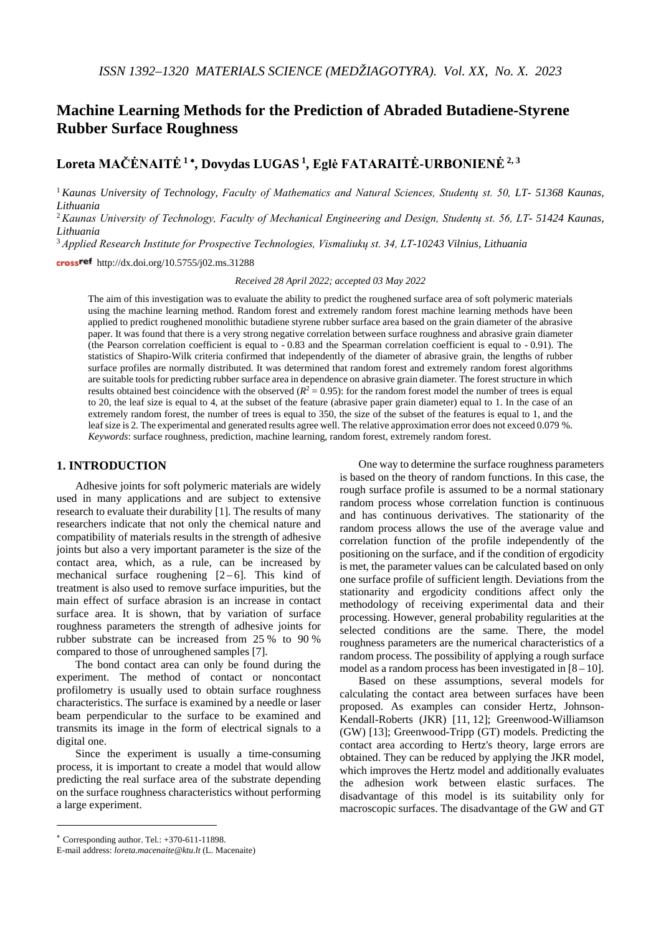# **Machine Learning Methods for the Prediction of Abraded Butadiene-Styrene Rubber Surface Roughness**

## **Loreta MAČĖNAITĖ <sup>1</sup>** <sup>∗</sup>**, Dovydas LUGAS 1, Eglė FATARAITĖ-URBONIENĖ2, <sup>3</sup>**

<sup>1</sup>*Kaunas University of Technology, Faculty of Mathematics and Natural Sciences, Studentų st. 50, LT- 51368 Kaunas, Lithuania*

<sup>2</sup>*Kaunas University of Technology, Faculty of Mechanical Engineering and Design, Studentų st. 56, LT- 51424 Kaunas, Lithuania*

<sup>3</sup> *Applied Research Institute for Prospective Technologies, Vismaliukų st. 34, LT-10243 Vilnius, Lithuania*

cross<sup>ref</sup> http://dx.doi.org/10.5755/j02.ms.31288

*Received 28 April 2022; accepted 03 May 2022*

The aim of this investigation was to evaluate the ability to predict the roughened surface area of soft polymeric materials using the machine learning method. Random forest and extremely random forest machine learning methods have been applied to predict roughened monolithic butadiene styrene rubber surface area based on the grain diameter of the abrasive paper. It was found that there is a very strong negative correlation between surface roughness and abrasive grain diameter (the Pearson correlation coefficient is equal to - 0.83 and the Spearman correlation coefficient is equal to - 0.91). The statistics of Shapiro-Wilk criteria confirmed that independently of the diameter of abrasive grain, the lengths of rubber surface profiles are normally distributed. It was determined that random forest and extremely random forest algorithms are suitable tools for predicting rubber surface area in dependence on abrasive grain diameter. The forest structure in which results obtained best coincidence with the observed  $(R^2 = 0.95)$ : for the random forest model the number of trees is equal to 20, the leaf size is equal to 4, at the subset of the feature (abrasive paper grain diameter) equal to 1. In the case of an extremely random forest, the number of trees is equal to 350, the size of the subset of the features is equal to 1, and the leaf size is 2. The experimental and generated results agree well. The relative approximation error does not exceed 0.079 %. *Keywords*: surface roughness, prediction, machine learning, random forest, extremely random forest.

#### **1. INTRODUCTION**[∗](#page-0-0)

Adhesive joints for soft polymeric materials are widely used in many applications and are subject to extensive research to evaluate their durability [1]. The results of many researchers indicate that not only the chemical nature and compatibility of materials results in the strength of adhesive joints but also a very important parameter is the size of the contact area, which, as a rule, can be increased by mechanical surface roughening  $[2-6]$ . This kind of treatment is also used to remove surface impurities, but the main effect of surface abrasion is an increase in contact surface area. It is shown, that by variation of surface roughness parameters the strength of adhesive joints for rubber substrate can be increased from 25 % to 90 % compared to those of unroughened samples [7].

The bond contact area can only be found during the experiment. The method of contact or noncontact profilometry is usually used to obtain surface roughness characteristics. The surface is examined by a needle or laser beam perpendicular to the surface to be examined and transmits its image in the form of electrical signals to a digital one.

Since the experiment is usually a time-consuming process, it is important to create a model that would allow predicting the real surface area of the substrate depending on the surface roughness characteristics without performing a large experiment.

One way to determine the surface roughness parameters is based on the theory of random functions. In this case, the rough surface profile is assumed to be a normal stationary random process whose correlation function is continuous and has continuous derivatives. The stationarity of the random process allows the use of the average value and correlation function of the profile independently of the positioning on the surface, and if the condition of ergodicity is met, the parameter values can be calculated based on only one surface profile of sufficient length. Deviations from the stationarity and ergodicity conditions affect only the methodology of receiving experimental data and their processing. However, general probability regularities at the selected conditions are the same. There, the model roughness parameters are the numerical characteristics of a random process. The possibility of applying a rough surface model as a random process has been investigated in  $[8 - 10]$ .

Based on these assumptions, several models for calculating the contact area between surfaces have been proposed. As examples can consider Hertz, Johnson-Kendall-Roberts (JKR) [11, 12]; Greenwood-Williamson (GW) [13]; Greenwood-Tripp (GT) models. Predicting the contact area according to Hertz's theory, large errors are obtained. They can be reduced by applying the JKR model, which improves the Hertz model and additionally evaluates the adhesion work between elastic surfaces. The disadvantage of this model is its suitability only for macroscopic surfaces. The disadvantage of the GW and GT

 $\overline{a}$ 

<span id="page-0-0"></span><sup>∗</sup> Corresponding author. Tel.: +370-611-11898.

E-mail address: *loreta.macenaite@ktu.lt* (L. Macenaite)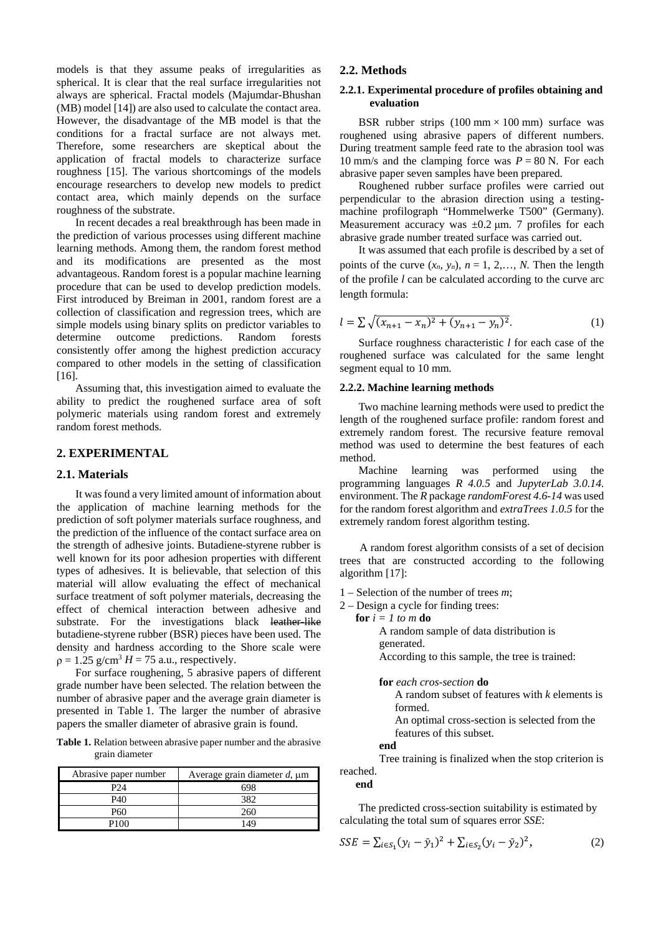models is that they assume peaks of irregularities as spherical. It is clear that the real surface irregularities not always are spherical. Fractal models (Majumdar-Bhushan (MB) model [14]) are also used to calculate the contact area. However, the disadvantage of the MB model is that the conditions for a fractal surface are not always met. Therefore, some researchers are skeptical about the application of fractal models to characterize surface roughness [15]. The various shortcomings of the models encourage researchers to develop new models to predict contact area, which mainly depends on the surface roughness of the substrate.

In recent decades a real breakthrough has been made in the prediction of various processes using different machine learning methods. Among them, the random forest method and its modifications are presented as the most advantageous. Random forest is a popular [machine learning](https://www.sciencedirect.com/topics/computer-science/machine-learning) procedure that can be used to develop prediction models. First introduced by Breiman in 2001, random forest are a collection of [classification](https://www.sciencedirect.com/topics/computer-science/classification) and regression trees, which are simple models using binary splits on [predictor variables](https://www.sciencedirect.com/topics/engineering/predictor-variable) to<br>determine outcome predictions. Random forests determine outcome predictions. Random consistently offer among the highest prediction accuracy compared to other models in the setting of classification [16].

Assuming that, this investigation aimed to evaluate the ability to predict the roughened surface area of soft polymeric materials using random forest and extremely random forest methods.

## **2. EXPERIMENTAL**

#### **2.1. Materials**

It was found a very limited amount of information about the application of machine learning methods for the prediction of soft polymer materials surface roughness, and the prediction of the influence of the contact surface area on the strength of adhesive joints. Butadiene-styrene rubber is well known for its poor adhesion properties with different types of adhesives. It is believable, that selection of this material will allow evaluating the effect of mechanical surface treatment of soft polymer materials, decreasing the effect of chemical interaction between adhesive and substrate. For the investigations black leather-like butadiene-styrene rubber (BSR) pieces have been used. The density and hardness according to the Shore scale were  $p = 1.25$  g/cm<sup>3</sup>  $H = 75$  a.u., respectively.

For surface roughening, 5 abrasive papers of different grade number have been selected. The relation between the number of abrasive paper and the average grain diameter is presented in Table 1. The larger the number of abrasive papers the smaller diameter of abrasive grain is found.

**Table 1.** Relation between abrasive paper number and the abrasive grain diameter

| Abrasive paper number | Average grain diameter $d$ , $\mu$ m |
|-----------------------|--------------------------------------|
| P24                   | 698                                  |
| P40                   | 382                                  |
| P60                   | 260                                  |
| P100                  | 149                                  |

## **2.2. Methods**

#### **2.2.1. Experimental procedure of profiles obtaining and evaluation**

BSR rubber strips  $(100 \text{ mm} \times 100 \text{ mm})$  surface was roughened using abrasive papers of different numbers. During treatment sample feed rate to the abrasion tool was 10 mm/s and the clamping force was  $P = 80$  N. For each abrasive paper seven samples have been prepared.

Roughened rubber surface profiles were carried out perpendicular to the abrasion direction using a testingmachine profilograph "Hommelwerke T500" (Germany). Measurement accuracy was  $\pm 0.2$  μm. 7 profiles for each abrasive grade number treated surface was carried out.

It was assumed that each profile is described by a set of points of the curve  $(x_n, y_n)$ ,  $n = 1, 2, \ldots, N$ . Then the length of the profile *l* can be calculated according to the curve arc length formula:

$$
l = \sum \sqrt{(x_{n+1} - x_n)^2 + (y_{n+1} - y_n)^2}.
$$
 (1)

Surface roughness characteristic *l* for each case of the roughened surface was calculated for the same lenght segment equal to 10 mm.

#### **2.2.2. Machine learning methods**

Two machine learning methods were used to predict the length of the roughened surface profile: random forest and extremely random forest. The recursive feature removal method was used to determine the best features of each method.

Machine learning was performed using the programming languages *R 4.0.5* and *JupyterLab 3.0.14*. environment. The *R* package *randomForest 4.6-14* was used for the random forest algorithm and *extraTrees 1.0.5* for the extremely random forest algorithm testing.

A random forest algorithm consists of a set of decision trees that are constructed according to the following algorithm [17]:

- 1 Selection of the number of trees *m*;
- 2 Design a cycle for finding trees:
	- **for**  $i = 1$  *to*  $m$  **do**

A random sample of data distribution is generated. According to this sample, the tree is trained:

**for** *each cros-section* **do** A random subset of features with *k* elements is formed. An optimal cross-section is selected from the features of this subset. **end**

Tree training is finalized when the stop criterion is reached.

#### **end**

The predicted cross-section suitability is estimated by calculating the total sum of squares error *SSE*:

$$
SSE = \sum_{i \in S_1} (y_i - \bar{y}_1)^2 + \sum_{i \in S_2} (y_i - \bar{y}_2)^2,
$$
 (2)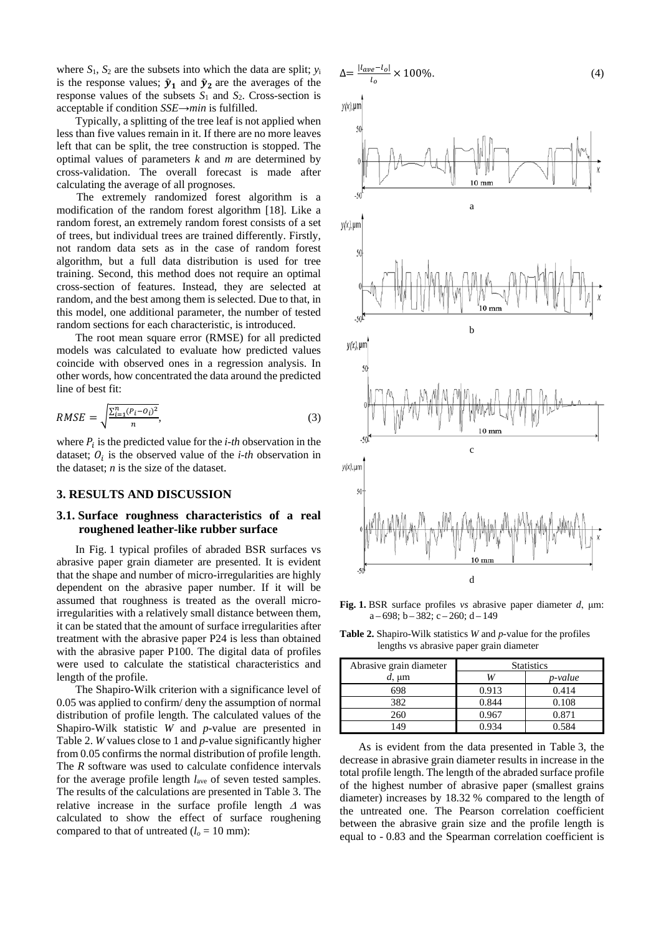where  $S_1$ ,  $S_2$  are the subsets into which the data are split;  $y_i$ is the response values;  $\bar{y}_1$  and  $\bar{y}_2$  are the averages of the response values of the subsets  $S_1$  and  $S_2$ . Cross-section is acceptable if condition *SSE*→*min* is fulfilled.

Typically, a splitting of the tree leaf is not applied when less than five values remain in it. If there are no more leaves left that can be split, the tree construction is stopped. The optimal values of parameters *k* and *m* are determined by cross-validation. The overall forecast is made after calculating the average of all prognoses.

The extremely randomized forest algorithm is a modification of the random forest algorithm [18]. Like a random forest, an extremely random forest consists of a set of trees, but individual trees are trained differently. Firstly, not random data sets as in the case of random forest algorithm, but a full data distribution is used for tree training. Second, this method does not require an optimal cross-section of features. Instead, they are selected at random, and the best among them is selected. Due to that, in this model, one additional parameter, the number of tested random sections for each characteristic, is introduced.

The root mean square error (RMSE) for all predicted models was calculated to evaluate how predicted values coincide with observed ones in a regression analysis. In other words, how concentrated the data around the predicted line of best fit:

$$
RMSE = \sqrt{\frac{\sum_{i=1}^{n} (P_i - O_i)^2}{n}},
$$
\n(3)

where  $P_i$  is the predicted value for the *i-th* observation in the dataset;  $O_i$  is the observed value of the *i-th* observation in the dataset; *n* is the size of the dataset.

#### **3. RESULTS AND DISCUSSION**

## **3.1. Surface roughness characteristics of a real roughened leather-like rubber surface**

In Fig. 1 typical profiles of abraded BSR surfaces vs abrasive paper grain diameter are presented. It is evident that the shape and number of micro-irregularities are highly dependent on the abrasive paper number. If it will be assumed that roughness is treated as the overall microirregularities with a relatively small distance between them, it can be stated that the amount of surface irregularities after treatment with the abrasive paper P24 is less than obtained with the abrasive paper P100. The digital data of profiles were used to calculate the statistical characteristics and length of the profile.

The Shapiro-Wilk criterion with a significance level of 0.05 was applied to confirm/ deny the assumption of normal distribution of profile length. The calculated values of the Shapiro-Wilk statistic *W* and *p-*value are presented in Table 2. *W* values close to 1 and *p-*value significantly higher from 0.05 confirms the normal distribution of profile length. The *R* software was used to calculate confidence intervals for the average profile length *l*ave of seven tested samples. The results of the calculations are presented in Table 3. The relative increase in the surface profile length <sup>∆</sup> was calculated to show the effect of surface roughening compared to that of untreated  $(l_o = 10 \text{ mm})$ :

$$
\Delta = \frac{|l_{ave} - l_o|}{l_o} \times 100\%.\tag{4}
$$





**Fig. 1.** BSR surface profiles *vs* abrasive paper diameter *d*, μm:  $a - 698$ ;  $b - 382$ ;  $c - 260$ ;  $d - 149$ 

**Table 2.** Shapiro-Wilk statistics *W* and *p-*value for the profiles lengths vs abrasive paper grain diameter

| Abrasive grain diameter | <b>Statistics</b> |         |
|-------------------------|-------------------|---------|
| $d$ , $\mu$ m           |                   | p-value |
| 698                     | 0.913             | 0.414   |
| 382                     | 0.844             | 0.108   |
| 260                     | 0.967             | 0.871   |
| 149                     | 0.934             | 0.584   |

As is evident from the data presented in Table 3, the decrease in abrasive grain diameter results in increase in the total profile length. The length of the abraded surface profile of the highest number of abrasive paper (smallest grains diameter) increases by 18.32 % compared to the length of the untreated one. The Pearson correlation coefficient between the abrasive grain size and the profile length is equal to - 0.83 and the Spearman correlation coefficient is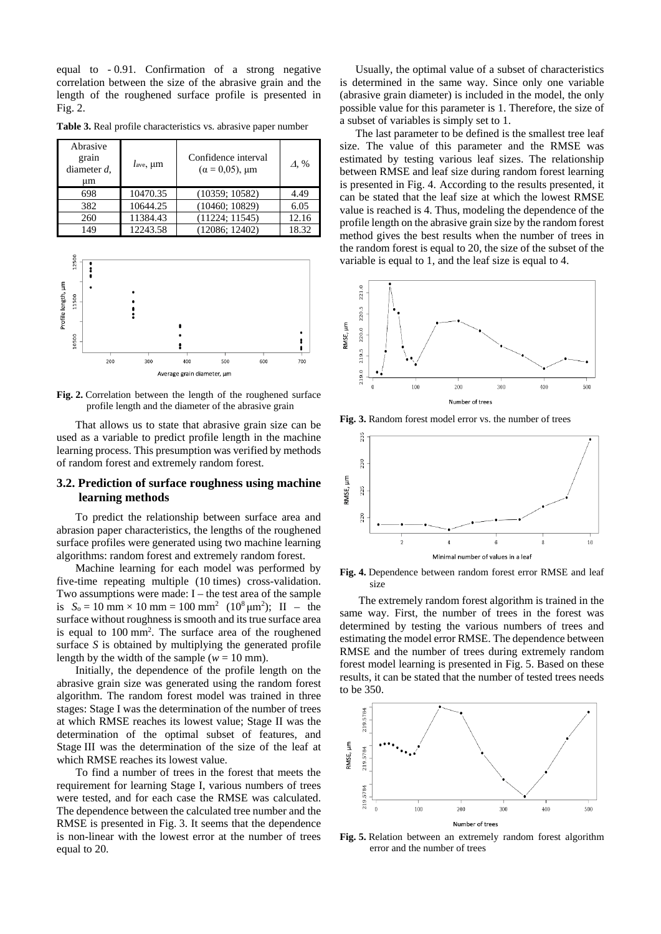equal to - 0.91. Confirmation of a strong negative correlation between the size of the abrasive grain and the length of the roughened surface profile is presented in Fig. 2.

| Abrasive<br>grain<br>diameter $d$ ,<br>um | $l_{\text{ave}}$ , $\mu$ m | Confidence interval<br>$(\alpha = 0.05)$ , $\mu$ m | Д, %  |
|-------------------------------------------|----------------------------|----------------------------------------------------|-------|
| 698                                       | 10470.35                   | (10359; 10582)                                     | 4.49  |
| 382                                       | 10644.25                   | (10460; 10829)                                     | 6.05  |
| 260                                       | 11384.43                   | (11224; 11545)                                     | 12.16 |
| 149                                       | 12243.58                   | (12086; 12402)                                     | 18.32 |

**Table 3.** Real profile characteristics vs. abrasive paper number



**Fig. 2.** Correlation between the length of the roughened surface profile length and the diameter of the abrasive grain

That allows us to state that abrasive grain size can be used as a variable to predict profile length in the machine learning process. This presumption was verified by methods of random forest and extremely random forest.

## **3.2. Prediction of surface roughness using machine learning methods**

To predict the relationship between surface area and abrasion paper characteristics, the lengths of the roughened surface profiles were generated using two machine learning algorithms: random forest and extremely random forest.

Machine learning for each model was performed by five-time repeating multiple (10 times) cross-validation. Two assumptions were made:  $I$  – the test area of the sample is  $S_0 = 10$  mm  $\times 10$  mm  $= 100$  mm<sup>2</sup>  $(10^8 \mu m^2)$ ; II – the surface without roughness is smooth and its true surface area is equal to 100 mm<sup>2</sup>. The surface area of the roughened surface *S* is obtained by multiplying the generated profile length by the width of the sample ( $w = 10$  mm).

Initially, the dependence of the profile length on the abrasive grain size was generated using the random forest algorithm. The random forest model was trained in three stages: Stage I was the determination of the number of trees at which RMSE reaches its lowest value; Stage II was the determination of the optimal subset of features, and Stage III was the determination of the size of the leaf at which RMSE reaches its lowest value.

To find a number of trees in the forest that meets the requirement for learning Stage I, various numbers of trees were tested, and for each case the RMSE was calculated. The dependence between the calculated tree number and the RMSE is presented in Fig. 3. It seems that the dependence is non-linear with the lowest error at the number of trees equal to 20.

Usually, the optimal value of a subset of characteristics is determined in the same way. Since only one variable (abrasive grain diameter) is included in the model, the only possible value for this parameter is 1. Therefore, the size of a subset of variables is simply set to 1.

The last parameter to be defined is the smallest tree leaf size. The value of this parameter and the RMSE was estimated by testing various leaf sizes. The relationship between RMSE and leaf size during random forest learning is presented in Fig. 4. According to the results presented, it can be stated that the leaf size at which the lowest RMSE value is reached is 4. Thus, modeling the dependence of the profile length on the abrasive grain size by the random forest method gives the best results when the number of trees in the random forest is equal to 20, the size of the subset of the variable is equal to 1, and the leaf size is equal to 4.



**Fig. 3.** Random forest model error vs. the number of trees



**Fig. 4.** Dependence between random forest error RMSE and leaf size

The extremely random forest algorithm is trained in the same way. First, the number of trees in the forest was determined by testing the various numbers of trees and estimating the model error RMSE. The dependence between RMSE and the number of trees during extremely random forest model learning is presented in Fig. 5. Based on these results, it can be stated that the number of tested trees needs to be 350.



**Fig. 5.** Relation between an extremely random forest algorithm error and the number of trees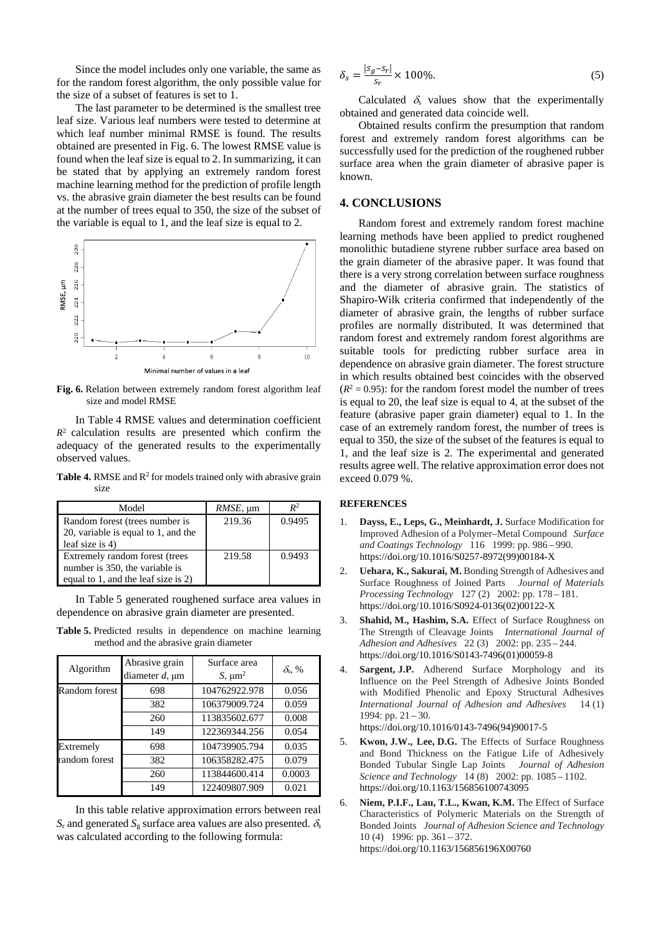Since the model includes only one variable, the same as for the random forest algorithm, the only possible value for the size of a subset of features is set to 1.

The last parameter to be determined is the smallest tree leaf size. Various leaf numbers were tested to determine at which leaf number minimal RMSE is found. The results obtained are presented in Fig. 6. The lowest RMSE value is found when the leaf size is equal to 2. In summarizing, it can be stated that by applying an extremely random forest machine learning method for the prediction of profile length vs. the abrasive grain diameter the best results can be found at the number of trees equal to 350, the size of the subset of the variable is equal to 1, and the leaf size is equal to 2.



**Fig. 6.** Relation between extremely random forest algorithm leaf size and model RMSE

In Table 4 RMSE values and determination coefficient  $R<sup>2</sup>$  calculation results are presented which confirm the adequacy of the generated results to the experimentally observed values.

**Table 4.** RMSE and  $\mathbb{R}^2$  for models trained only with abrasive grain size

| Model                               | $RMSE$ , $\mu$ m | $I\!\!R^2$ |
|-------------------------------------|------------------|------------|
| Random forest (trees number is      | 219.36           | 0.9495     |
| 20, variable is equal to 1, and the |                  |            |
| leaf size is $4$ )                  |                  |            |
| Extremely random forest (trees      | 219.58           | 0.9493     |
| number is 350, the variable is      |                  |            |
| equal to 1, and the leaf size is 2) |                  |            |

In Table 5 generated roughened surface area values in dependence on abrasive grain diameter are presented.

**Table 5.** Predicted results in dependence on machine learning method and the abrasive grain diameter

| Algorithm     | Abrasive grain         | Surface area  |                |  |
|---------------|------------------------|---------------|----------------|--|
|               | diameter $d$ , $\mu$ m | $S, \mu m^2$  | $\delta_s$ , % |  |
| Random forest | 698                    | 104762922.978 | 0.056          |  |
|               | 382                    | 106379009.724 | 0.059          |  |
|               | 260                    | 113835602.677 | 0.008          |  |
|               | 149                    | 122369344.256 | 0.054          |  |
| Extremely     | 698                    | 104739905.794 | 0.035          |  |
| random forest | 382                    | 106358282.475 | 0.079          |  |
|               | 260                    | 113844600.414 | 0.0003         |  |
|               | 149                    | 122409807.909 | 0.021          |  |

In this table relative approximation errors between real  $S_r$  and generated  $S_g$  surface area values are also presented.  $\delta_s$ was calculated according to the following formula:

$$
\delta_s = \frac{|s_g - s_r|}{s_r} \times 100\%.\tag{5}
$$

Calculated  $\delta_s$  values show that the experimentally obtained and generated data coincide well.

Obtained results confirm the presumption that random forest and extremely random forest algorithms can be successfully used for the prediction of the roughened rubber surface area when the grain diameter of abrasive paper is known.

## **4. CONCLUSIONS**

Random forest and extremely random forest machine learning methods have been applied to predict roughened monolithic butadiene styrene rubber surface area based on the grain diameter of the abrasive paper. It was found that there is a very strong correlation between surface roughness and the diameter of abrasive grain. The statistics of Shapiro-Wilk criteria confirmed that independently of the diameter of abrasive grain, the lengths of rubber surface profiles are normally distributed. It was determined that random forest and extremely random forest algorithms are suitable tools for predicting rubber surface area in dependence on abrasive grain diameter. The forest structure in which results obtained best coincides with the observed  $(R^2 = 0.95)$ : for the random forest model the number of trees is equal to 20, the leaf size is equal to 4, at the subset of the feature (abrasive paper grain diameter) equal to 1. In the case of an extremely random forest, the number of trees is equal to 350, the size of the subset of the features is equal to 1, and the leaf size is 2. The experimental and generated results agree well. The relative approximation error does not exceed 0.079 %.

#### **REFERENCES**

- 1. **Dayss, E., Leps, G., Meinhardt, J.** Surface Modification for Improved Adhesion of a Polymer–Metal Compound *Surface and Coatings Technology* 116 1999: pp. 986 – 990. https://doi.org/10.1016/S0257-8972(99)00184-X
- 2. **Uehara, K., Sakurai, M.** Bonding Strength of Adhesives and Surface Roughness of Joined Parts *Journal of Materials Processing Technology* 127 (2) 2002: pp. 178 – 181. https://doi.org/10.1016/S0924-0136(02)00122-X
- 3. **Shahid, M., Hashim, S.A.** Effect of Surface Roughness on The Strength of Cleavage Joints *International Journal of Adhesion and Adhesives* 22 (3) 2002: pp. 235 – 244. https://doi.org/10.1016/S0143-7496(01)00059-8
- 4. **Sargent, J.P.** Adherend Surface Morphology and its Influence on the Peel Strength of Adhesive Joints Bonded with Modified Phenolic and Epoxy Structural Adhesives *International Journal of Adhesion and Adhesives* 14 (1) 1994: pp.  $21 - 30$ . https://doi.org/10.1016/0143-7496(94)90017-5
- 5. **Kwon, J.W., Lee, D.G.** The Effects of Surface Roughness and Bond Thickness on the Fatigue Life of Adhesively Bonded Tubular Single Lap Joints *Journal of Adhesion Science and Technology* 14 (8) 2002: pp. 1085 – 1102. https://doi.org/10.1163/156856100743095
- 6. **Niem, P.I.F., Lau, T.L., Kwan, K.M.** The Effect of Surface Characteristics of Polymeric Materials on the Strength of Bonded Joints *Journal of Adhesion Science and Technology* 10 (4) 1996: pp. 361 – 372. https://doi.org/10.1163/156856196X00760